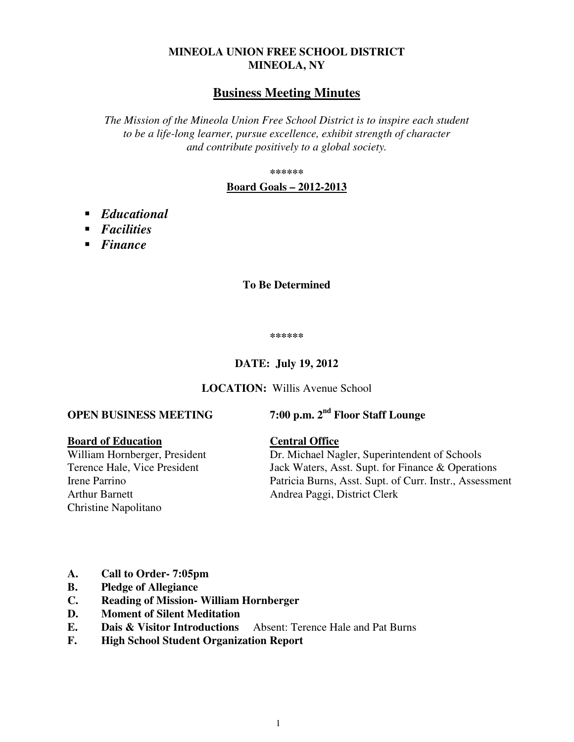## **MINEOLA UNION FREE SCHOOL DISTRICT MINEOLA, NY**

## **Business Meeting Minutes**

*The Mission of the Mineola Union Free School District is to inspire each student to be a life-long learner, pursue excellence, exhibit strength of character and contribute positively to a global society.* 

**\*\*\*\*\*\*** 

#### **Board Goals – 2012-2013**

- *Educational*
- *Facilities*
- *Finance*

#### **To Be Determined**

**\*\*\*\*\*\*** 

#### **DATE: July 19, 2012**

**LOCATION:** Willis Avenue School

# **OPEN BUSINESS MEETING 7:00 p.m. 2nd Floor Staff Lounge**

#### **Board of Education Central Office**

Arthur Barnett Andrea Paggi, District Clerk Christine Napolitano

William Hornberger, President Dr. Michael Nagler, Superintendent of Schools Terence Hale, Vice President Jack Waters, Asst. Supt. for Finance & Operations Irene Parrino Patricia Burns, Asst. Supt. of Curr. Instr., Assessment

- **A. Call to Order- 7:05pm**
- **B. Pledge of Allegiance**
- **C. Reading of Mission- William Hornberger**
- **D. Moment of Silent Meditation**
- **E. Dais & Visitor Introductions** Absent: Terence Hale and Pat Burns
- **F. High School Student Organization Report**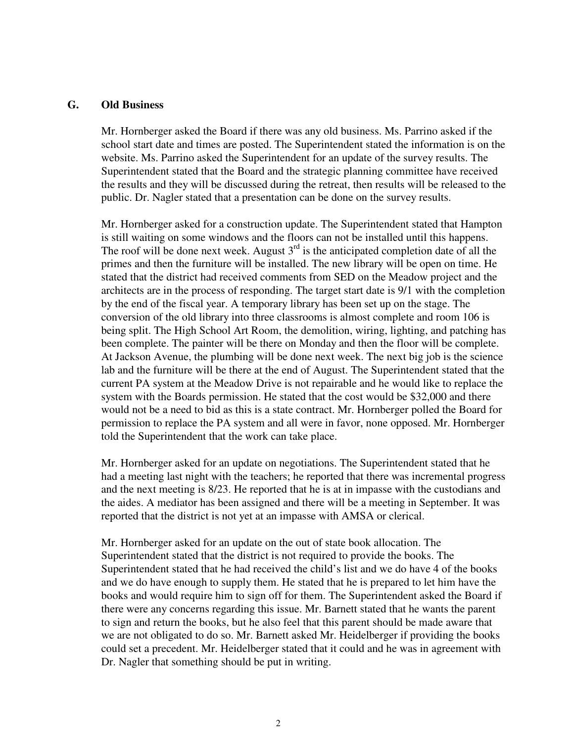#### **G. Old Business**

Mr. Hornberger asked the Board if there was any old business. Ms. Parrino asked if the school start date and times are posted. The Superintendent stated the information is on the website. Ms. Parrino asked the Superintendent for an update of the survey results. The Superintendent stated that the Board and the strategic planning committee have received the results and they will be discussed during the retreat, then results will be released to the public. Dr. Nagler stated that a presentation can be done on the survey results.

Mr. Hornberger asked for a construction update. The Superintendent stated that Hampton is still waiting on some windows and the floors can not be installed until this happens. The roof will be done next week. August  $3<sup>rd</sup>$  is the anticipated completion date of all the primes and then the furniture will be installed. The new library will be open on time. He stated that the district had received comments from SED on the Meadow project and the architects are in the process of responding. The target start date is 9/1 with the completion by the end of the fiscal year. A temporary library has been set up on the stage. The conversion of the old library into three classrooms is almost complete and room 106 is being split. The High School Art Room, the demolition, wiring, lighting, and patching has been complete. The painter will be there on Monday and then the floor will be complete. At Jackson Avenue, the plumbing will be done next week. The next big job is the science lab and the furniture will be there at the end of August. The Superintendent stated that the current PA system at the Meadow Drive is not repairable and he would like to replace the system with the Boards permission. He stated that the cost would be \$32,000 and there would not be a need to bid as this is a state contract. Mr. Hornberger polled the Board for permission to replace the PA system and all were in favor, none opposed. Mr. Hornberger told the Superintendent that the work can take place.

Mr. Hornberger asked for an update on negotiations. The Superintendent stated that he had a meeting last night with the teachers; he reported that there was incremental progress and the next meeting is 8/23. He reported that he is at in impasse with the custodians and the aides. A mediator has been assigned and there will be a meeting in September. It was reported that the district is not yet at an impasse with AMSA or clerical.

Mr. Hornberger asked for an update on the out of state book allocation. The Superintendent stated that the district is not required to provide the books. The Superintendent stated that he had received the child's list and we do have 4 of the books and we do have enough to supply them. He stated that he is prepared to let him have the books and would require him to sign off for them. The Superintendent asked the Board if there were any concerns regarding this issue. Mr. Barnett stated that he wants the parent to sign and return the books, but he also feel that this parent should be made aware that we are not obligated to do so. Mr. Barnett asked Mr. Heidelberger if providing the books could set a precedent. Mr. Heidelberger stated that it could and he was in agreement with Dr. Nagler that something should be put in writing.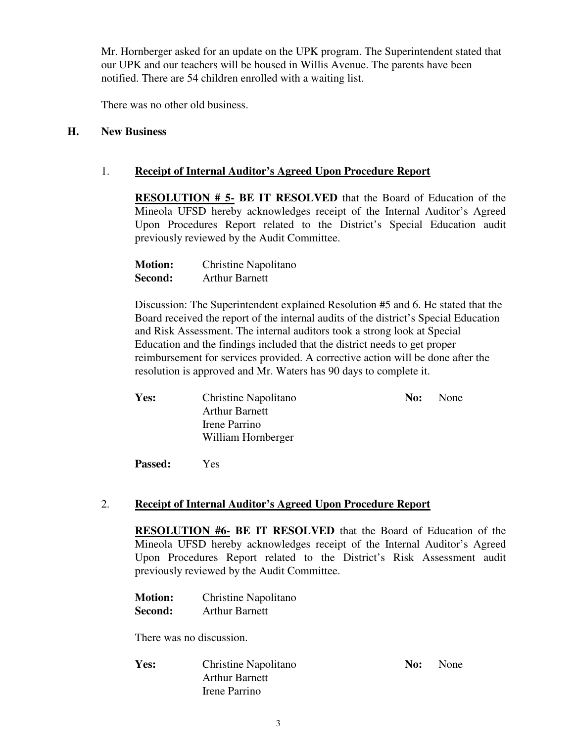Mr. Hornberger asked for an update on the UPK program. The Superintendent stated that our UPK and our teachers will be housed in Willis Avenue. The parents have been notified. There are 54 children enrolled with a waiting list.

There was no other old business.

#### **H. New Business**

#### 1. **Receipt of Internal Auditor's Agreed Upon Procedure Report**

**RESOLUTION # 5- BE IT RESOLVED** that the Board of Education of the Mineola UFSD hereby acknowledges receipt of the Internal Auditor's Agreed Upon Procedures Report related to the District's Special Education audit previously reviewed by the Audit Committee.

| <b>Motion:</b> | Christine Napolitano  |
|----------------|-----------------------|
| Second:        | <b>Arthur Barnett</b> |

Discussion: The Superintendent explained Resolution #5 and 6. He stated that the Board received the report of the internal audits of the district's Special Education and Risk Assessment. The internal auditors took a strong look at Special Education and the findings included that the district needs to get proper reimbursement for services provided. A corrective action will be done after the resolution is approved and Mr. Waters has 90 days to complete it.

| Yes: | Christine Napolitano  | No: | None |
|------|-----------------------|-----|------|
|      | <b>Arthur Barnett</b> |     |      |
|      | Irene Parrino         |     |      |
|      | William Hornberger    |     |      |
|      |                       |     |      |

**Passed:** Yes

#### 2. **Receipt of Internal Auditor's Agreed Upon Procedure Report**

**RESOLUTION #6- BE IT RESOLVED** that the Board of Education of the Mineola UFSD hereby acknowledges receipt of the Internal Auditor's Agreed Upon Procedures Report related to the District's Risk Assessment audit previously reviewed by the Audit Committee.

| <b>Motion:</b> | Christine Napolitano  |
|----------------|-----------------------|
| Second:        | <b>Arthur Barnett</b> |

There was no discussion.

**Yes:** Christine Napolitano **No:** No: None Arthur Barnett Irene Parrino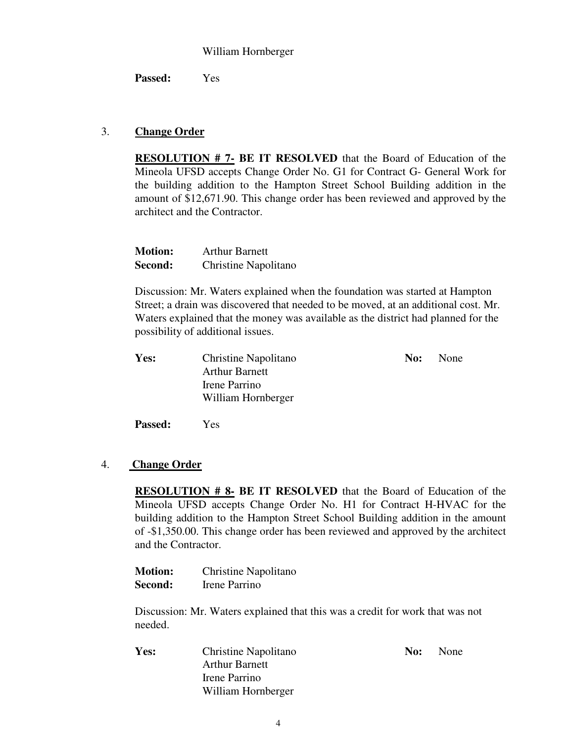#### William Hornberger

**Passed:** Yes

### 3. **Change Order**

**RESOLUTION # 7- BE IT RESOLVED** that the Board of Education of the Mineola UFSD accepts Change Order No. G1 for Contract G- General Work for the building addition to the Hampton Street School Building addition in the amount of \$12,671.90. This change order has been reviewed and approved by the architect and the Contractor.

| <b>Motion:</b> | <b>Arthur Barnett</b> |
|----------------|-----------------------|
| Second:        | Christine Napolitano  |

Discussion: Mr. Waters explained when the foundation was started at Hampton Street; a drain was discovered that needed to be moved, at an additional cost. Mr. Waters explained that the money was available as the district had planned for the possibility of additional issues.

| Yes: | Christine Napolitano  | No: | None |
|------|-----------------------|-----|------|
|      | <b>Arthur Barnett</b> |     |      |
|      | Irene Parrino         |     |      |
|      | William Hornberger    |     |      |
|      |                       |     |      |

**Passed:** Yes

#### 4. **Change Order**

**RESOLUTION # 8- BE IT RESOLVED** that the Board of Education of the Mineola UFSD accepts Change Order No. H1 for Contract H-HVAC for the building addition to the Hampton Street School Building addition in the amount of -\$1,350.00. This change order has been reviewed and approved by the architect and the Contractor.

**Motion:** Christine Napolitano **Second:** Irene Parrino

Discussion: Mr. Waters explained that this was a credit for work that was not needed.

**Yes:** Christine Napolitano **No:** No: None Arthur Barnett Irene Parrino William Hornberger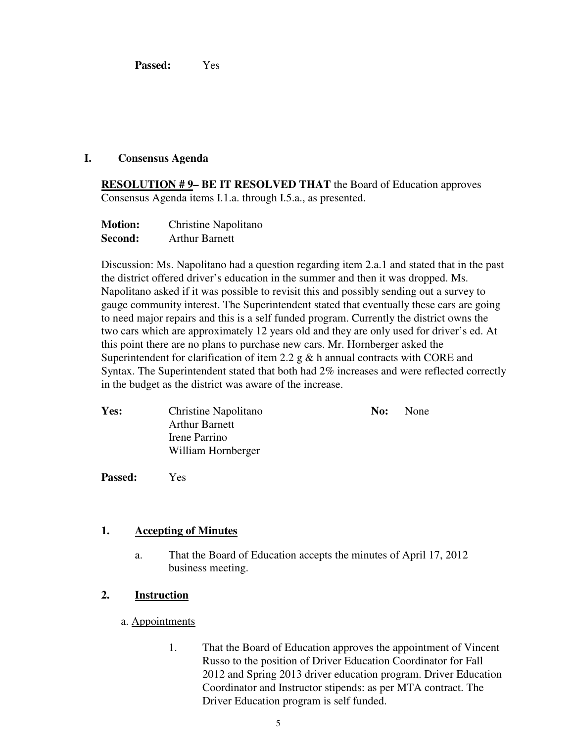**Passed:** Yes

#### **I. Consensus Agenda**

**RESOLUTION # 9- BE IT RESOLVED THAT** the Board of Education approves Consensus Agenda items I.1.a. through I.5.a., as presented.

| <b>Motion:</b> | Christine Napolitano  |
|----------------|-----------------------|
| Second:        | <b>Arthur Barnett</b> |

Discussion: Ms. Napolitano had a question regarding item 2.a.1 and stated that in the past the district offered driver's education in the summer and then it was dropped. Ms. Napolitano asked if it was possible to revisit this and possibly sending out a survey to gauge community interest. The Superintendent stated that eventually these cars are going to need major repairs and this is a self funded program. Currently the district owns the two cars which are approximately 12 years old and they are only used for driver's ed. At this point there are no plans to purchase new cars. Mr. Hornberger asked the Superintendent for clarification of item 2.2 g  $\&$  h annual contracts with CORE and Syntax. The Superintendent stated that both had 2% increases and were reflected correctly in the budget as the district was aware of the increase.

| <b>Yes:</b> | Christine Napolitano  | No: | None |
|-------------|-----------------------|-----|------|
|             | <b>Arthur Barnett</b> |     |      |
|             | Irene Parrino         |     |      |
|             | William Hornberger    |     |      |
|             |                       |     |      |

**Passed:** Yes

#### **1. Accepting of Minutes**

a. That the Board of Education accepts the minutes of April 17, 2012 business meeting.

## **2. Instruction**

- a. Appointments
	- 1. That the Board of Education approves the appointment of Vincent Russo to the position of Driver Education Coordinator for Fall 2012 and Spring 2013 driver education program. Driver Education Coordinator and Instructor stipends: as per MTA contract. The Driver Education program is self funded.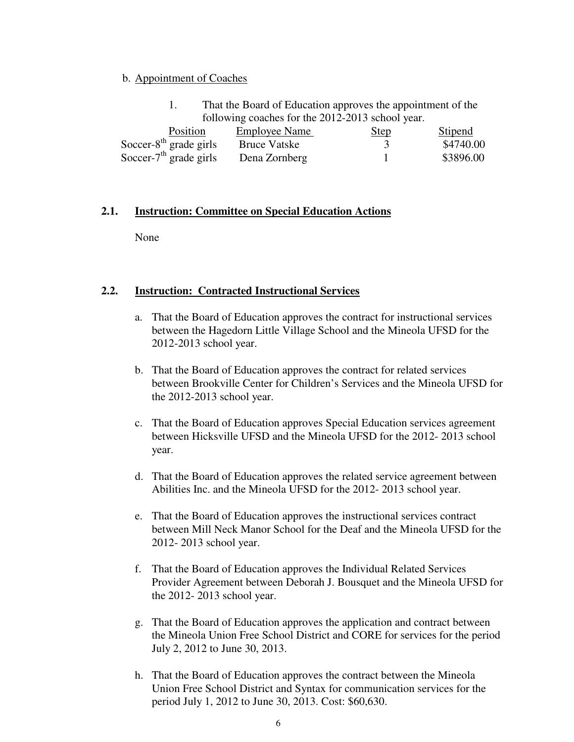#### b. Appointment of Coaches

|                                                  | That the Board of Education approves the appointment of the |             |           |
|--------------------------------------------------|-------------------------------------------------------------|-------------|-----------|
| following coaches for the 2012-2013 school year. |                                                             |             |           |
| <b>Position</b>                                  | <b>Employee Name</b>                                        | <b>Step</b> | Stipend   |
| Soccer- $8th$ grade girls                        | <b>Bruce Vatske</b>                                         |             | \$4740.00 |
| Soccer- $7th$ grade girls                        | Dena Zornberg                                               |             | \$3896.00 |

#### **2.1. Instruction: Committee on Special Education Actions**

None

### **2.2. Instruction: Contracted Instructional Services**

- a. That the Board of Education approves the contract for instructional services between the Hagedorn Little Village School and the Mineola UFSD for the 2012-2013 school year.
- b. That the Board of Education approves the contract for related services between Brookville Center for Children's Services and the Mineola UFSD for the 2012-2013 school year.
- c. That the Board of Education approves Special Education services agreement between Hicksville UFSD and the Mineola UFSD for the 2012- 2013 school year.
- d. That the Board of Education approves the related service agreement between Abilities Inc. and the Mineola UFSD for the 2012- 2013 school year.
- e. That the Board of Education approves the instructional services contract between Mill Neck Manor School for the Deaf and the Mineola UFSD for the 2012- 2013 school year.
- f. That the Board of Education approves the Individual Related Services Provider Agreement between Deborah J. Bousquet and the Mineola UFSD for the 2012- 2013 school year.
- g. That the Board of Education approves the application and contract between the Mineola Union Free School District and CORE for services for the period July 2, 2012 to June 30, 2013.
- h. That the Board of Education approves the contract between the Mineola Union Free School District and Syntax for communication services for the period July 1, 2012 to June 30, 2013. Cost: \$60,630.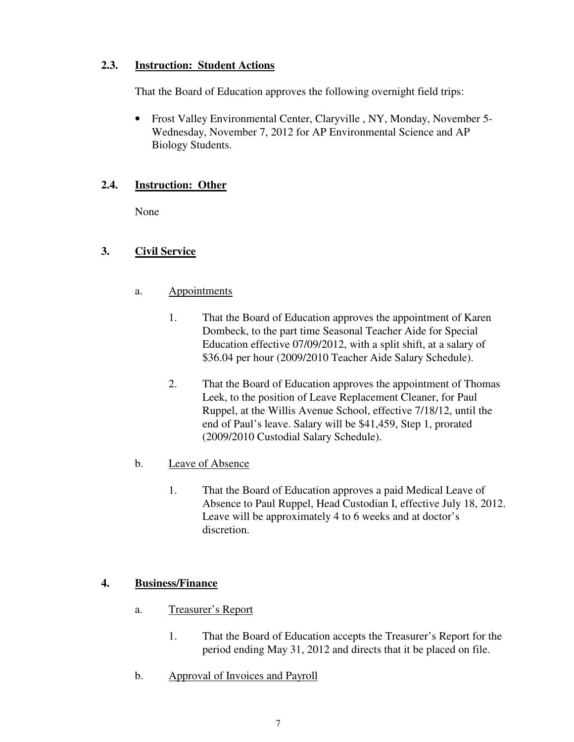## **2.3. Instruction: Student Actions**

That the Board of Education approves the following overnight field trips:

• Frost Valley Environmental Center, Claryville , NY, Monday, November 5- Wednesday, November 7, 2012 for AP Environmental Science and AP Biology Students.

## **2.4. Instruction: Other**

None

## **3. Civil Service**

- a. Appointments
	- 1. That the Board of Education approves the appointment of Karen Dombeck, to the part time Seasonal Teacher Aide for Special Education effective 07/09/2012, with a split shift, at a salary of \$36.04 per hour (2009/2010 Teacher Aide Salary Schedule).
	- 2. That the Board of Education approves the appointment of Thomas Leek, to the position of Leave Replacement Cleaner, for Paul Ruppel, at the Willis Avenue School, effective 7/18/12, until the end of Paul's leave. Salary will be \$41,459, Step 1, prorated (2009/2010 Custodial Salary Schedule).
- b. Leave of Absence
	- 1. That the Board of Education approves a paid Medical Leave of Absence to Paul Ruppel, Head Custodian I, effective July 18, 2012. Leave will be approximately 4 to 6 weeks and at doctor's discretion.

## **4. Business/Finance**

- a. Treasurer's Report
	- 1. That the Board of Education accepts the Treasurer's Report for the period ending May 31, 2012 and directs that it be placed on file.
- b. Approval of Invoices and Payroll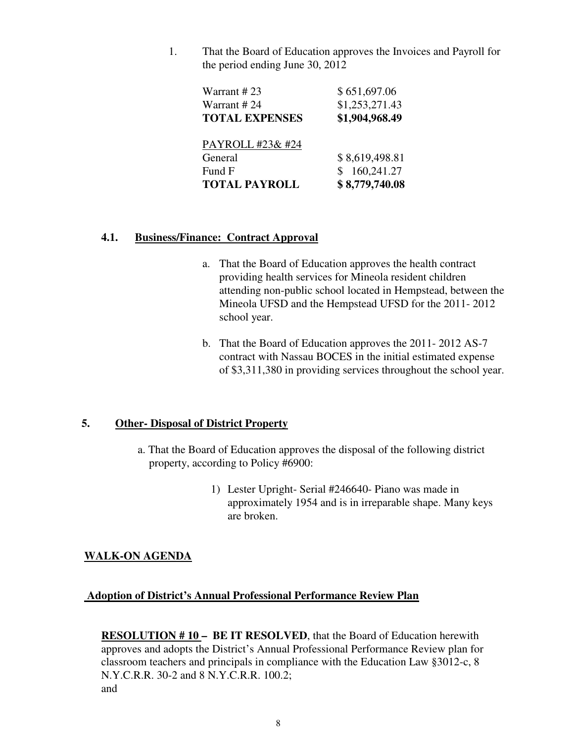1. That the Board of Education approves the Invoices and Payroll for the period ending June 30, 2012

| Warrant #23           | \$651,697.06   |
|-----------------------|----------------|
| Warrant #24           | \$1,253,271.43 |
| <b>TOTAL EXPENSES</b> | \$1,904,968.49 |
| PAYROLL #23& #24      |                |
| General               | \$8,619,498.81 |
| Fund F                | 160,241.27     |
| <b>TOTAL PAYROLL</b>  | \$8,779,740.08 |

#### **4.1. Business/Finance: Contract Approval**

- a. That the Board of Education approves the health contract providing health services for Mineola resident children attending non-public school located in Hempstead, between the Mineola UFSD and the Hempstead UFSD for the 2011- 2012 school year.
- b. That the Board of Education approves the 2011- 2012 AS-7 contract with Nassau BOCES in the initial estimated expense of \$3,311,380 in providing services throughout the school year.

#### **5. Other- Disposal of District Property**

- a. That the Board of Education approves the disposal of the following district property, according to Policy #6900:
	- 1) Lester Upright- Serial #246640- Piano was made in approximately 1954 and is in irreparable shape. Many keys are broken.

## **WALK-ON AGENDA**

#### **Adoption of District's Annual Professional Performance Review Plan**

**RESOLUTION # 10 – BE IT RESOLVED**, that the Board of Education herewith approves and adopts the District's Annual Professional Performance Review plan for classroom teachers and principals in compliance with the Education Law §3012-c, 8 N.Y.C.R.R. 30-2 and 8 N.Y.C.R.R. 100.2; and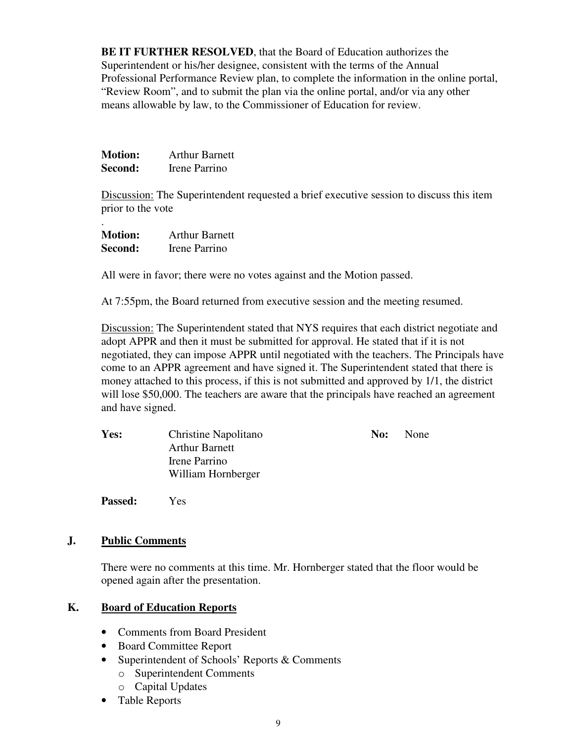**BE IT FURTHER RESOLVED**, that the Board of Education authorizes the Superintendent or his/her designee, consistent with the terms of the Annual Professional Performance Review plan, to complete the information in the online portal, "Review Room", and to submit the plan via the online portal, and/or via any other means allowable by law, to the Commissioner of Education for review.

| <b>Motion:</b> | <b>Arthur Barnett</b> |
|----------------|-----------------------|
| Second:        | Irene Parrino         |

Discussion: The Superintendent requested a brief executive session to discuss this item prior to the vote

| <b>Motion:</b> | <b>Arthur Barnett</b> |
|----------------|-----------------------|
| Second:        | Irene Parrino         |

.

All were in favor; there were no votes against and the Motion passed.

At 7:55pm, the Board returned from executive session and the meeting resumed.

Discussion: The Superintendent stated that NYS requires that each district negotiate and adopt APPR and then it must be submitted for approval. He stated that if it is not negotiated, they can impose APPR until negotiated with the teachers. The Principals have come to an APPR agreement and have signed it. The Superintendent stated that there is money attached to this process, if this is not submitted and approved by 1/1, the district will lose \$50,000. The teachers are aware that the principals have reached an agreement and have signed.

| Yes: | Christine Napolitano  | No: | None |
|------|-----------------------|-----|------|
|      | <b>Arthur Barnett</b> |     |      |
|      | Irene Parrino         |     |      |
|      | William Hornberger    |     |      |
|      |                       |     |      |

**Passed:** Yes

## **J. Public Comments**

There were no comments at this time. Mr. Hornberger stated that the floor would be opened again after the presentation.

## **K. Board of Education Reports**

- Comments from Board President
- Board Committee Report
- Superintendent of Schools' Reports & Comments
	- o Superintendent Comments
	- o Capital Updates
- Table Reports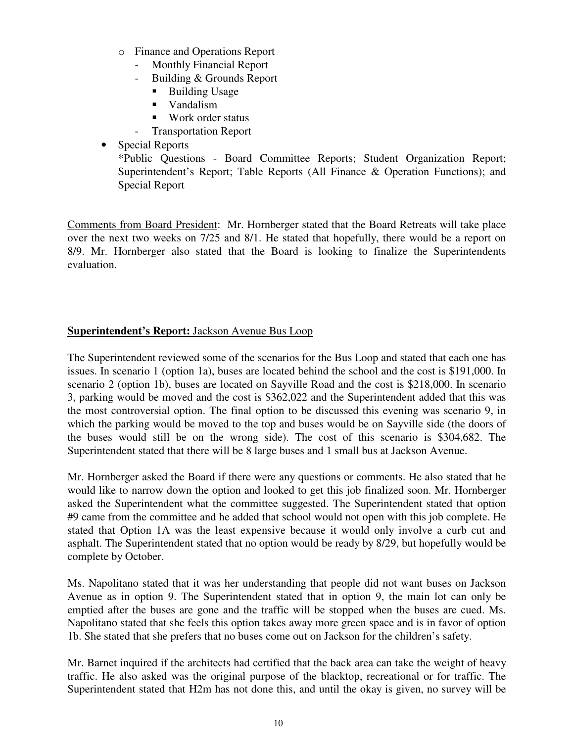- o Finance and Operations Report
	- Monthly Financial Report
	- Building & Grounds Report
		- **Building Usage**
		- **vandalism**
		- Work order status
	- Transportation Report
- Special Reports

\*Public Questions - Board Committee Reports; Student Organization Report; Superintendent's Report; Table Reports (All Finance & Operation Functions); and Special Report

Comments from Board President: Mr. Hornberger stated that the Board Retreats will take place over the next two weeks on 7/25 and 8/1. He stated that hopefully, there would be a report on 8/9. Mr. Hornberger also stated that the Board is looking to finalize the Superintendents evaluation.

## **Superintendent's Report:** Jackson Avenue Bus Loop

The Superintendent reviewed some of the scenarios for the Bus Loop and stated that each one has issues. In scenario 1 (option 1a), buses are located behind the school and the cost is \$191,000. In scenario 2 (option 1b), buses are located on Sayville Road and the cost is \$218,000. In scenario 3, parking would be moved and the cost is \$362,022 and the Superintendent added that this was the most controversial option. The final option to be discussed this evening was scenario 9, in which the parking would be moved to the top and buses would be on Sayville side (the doors of the buses would still be on the wrong side). The cost of this scenario is \$304,682. The Superintendent stated that there will be 8 large buses and 1 small bus at Jackson Avenue.

Mr. Hornberger asked the Board if there were any questions or comments. He also stated that he would like to narrow down the option and looked to get this job finalized soon. Mr. Hornberger asked the Superintendent what the committee suggested. The Superintendent stated that option #9 came from the committee and he added that school would not open with this job complete. He stated that Option 1A was the least expensive because it would only involve a curb cut and asphalt. The Superintendent stated that no option would be ready by 8/29, but hopefully would be complete by October.

Ms. Napolitano stated that it was her understanding that people did not want buses on Jackson Avenue as in option 9. The Superintendent stated that in option 9, the main lot can only be emptied after the buses are gone and the traffic will be stopped when the buses are cued. Ms. Napolitano stated that she feels this option takes away more green space and is in favor of option 1b. She stated that she prefers that no buses come out on Jackson for the children's safety.

Mr. Barnet inquired if the architects had certified that the back area can take the weight of heavy traffic. He also asked was the original purpose of the blacktop, recreational or for traffic. The Superintendent stated that H2m has not done this, and until the okay is given, no survey will be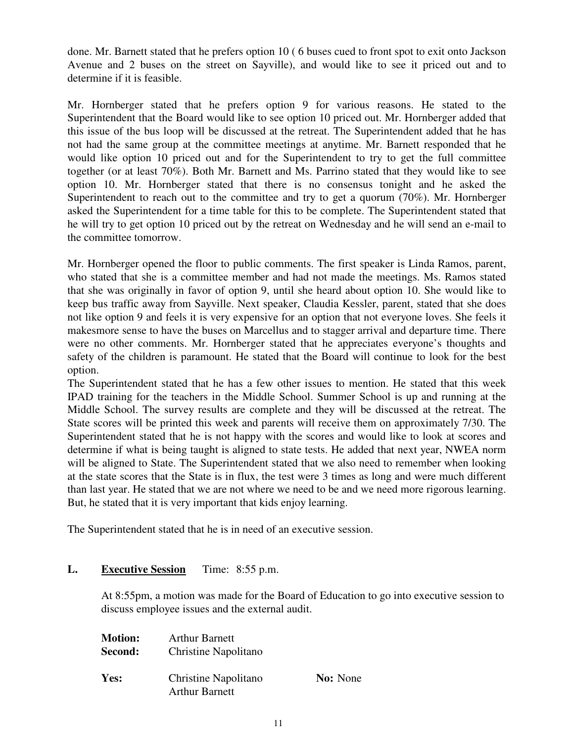done. Mr. Barnett stated that he prefers option 10 ( 6 buses cued to front spot to exit onto Jackson Avenue and 2 buses on the street on Sayville), and would like to see it priced out and to determine if it is feasible.

Mr. Hornberger stated that he prefers option 9 for various reasons. He stated to the Superintendent that the Board would like to see option 10 priced out. Mr. Hornberger added that this issue of the bus loop will be discussed at the retreat. The Superintendent added that he has not had the same group at the committee meetings at anytime. Mr. Barnett responded that he would like option 10 priced out and for the Superintendent to try to get the full committee together (or at least 70%). Both Mr. Barnett and Ms. Parrino stated that they would like to see option 10. Mr. Hornberger stated that there is no consensus tonight and he asked the Superintendent to reach out to the committee and try to get a quorum (70%). Mr. Hornberger asked the Superintendent for a time table for this to be complete. The Superintendent stated that he will try to get option 10 priced out by the retreat on Wednesday and he will send an e-mail to the committee tomorrow.

Mr. Hornberger opened the floor to public comments. The first speaker is Linda Ramos, parent, who stated that she is a committee member and had not made the meetings. Ms. Ramos stated that she was originally in favor of option 9, until she heard about option 10. She would like to keep bus traffic away from Sayville. Next speaker, Claudia Kessler, parent, stated that she does not like option 9 and feels it is very expensive for an option that not everyone loves. She feels it makesmore sense to have the buses on Marcellus and to stagger arrival and departure time. There were no other comments. Mr. Hornberger stated that he appreciates everyone's thoughts and safety of the children is paramount. He stated that the Board will continue to look for the best option.

The Superintendent stated that he has a few other issues to mention. He stated that this week IPAD training for the teachers in the Middle School. Summer School is up and running at the Middle School. The survey results are complete and they will be discussed at the retreat. The State scores will be printed this week and parents will receive them on approximately 7/30. The Superintendent stated that he is not happy with the scores and would like to look at scores and determine if what is being taught is aligned to state tests. He added that next year, NWEA norm will be aligned to State. The Superintendent stated that we also need to remember when looking at the state scores that the State is in flux, the test were 3 times as long and were much different than last year. He stated that we are not where we need to be and we need more rigorous learning. But, he stated that it is very important that kids enjoy learning.

The Superintendent stated that he is in need of an executive session.

## **L. Executive Session** Time: 8:55 p.m.

At 8:55pm, a motion was made for the Board of Education to go into executive session to discuss employee issues and the external audit.

| <b>Motion:</b> | <b>Arthur Barnett</b> |                 |
|----------------|-----------------------|-----------------|
| Second:        | Christine Napolitano  |                 |
| Yes:           | Christine Napolitano  | <b>No:</b> None |
|                | <b>Arthur Barnett</b> |                 |